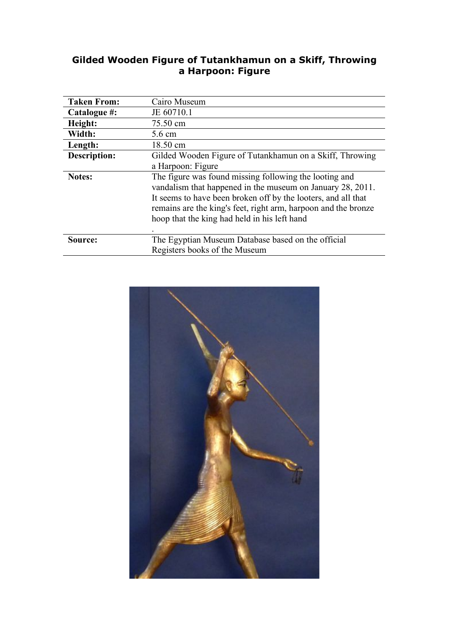#### **Gilded Wooden Figure of Tutankhamun on a Skiff, Throwing a Harpoon: Figure**

| <b>Taken From:</b>  | Cairo Museum                                                   |
|---------------------|----------------------------------------------------------------|
| Catalogue #:        | JE 60710.1                                                     |
| Height:             | 75.50 cm                                                       |
| Width:              | 5.6 cm                                                         |
| Length:             | 18.50 cm                                                       |
| <b>Description:</b> | Gilded Wooden Figure of Tutankhamun on a Skiff, Throwing       |
|                     | a Harpoon: Figure                                              |
| <b>Notes:</b>       | The figure was found missing following the looting and         |
|                     | vandalism that happened in the museum on January 28, 2011.     |
|                     | It seems to have been broken off by the looters, and all that  |
|                     | remains are the king's feet, right arm, harpoon and the bronze |
|                     | hoop that the king had held in his left hand                   |
|                     |                                                                |
| Source:             | The Egyptian Museum Database based on the official             |
|                     | Registers books of the Museum                                  |

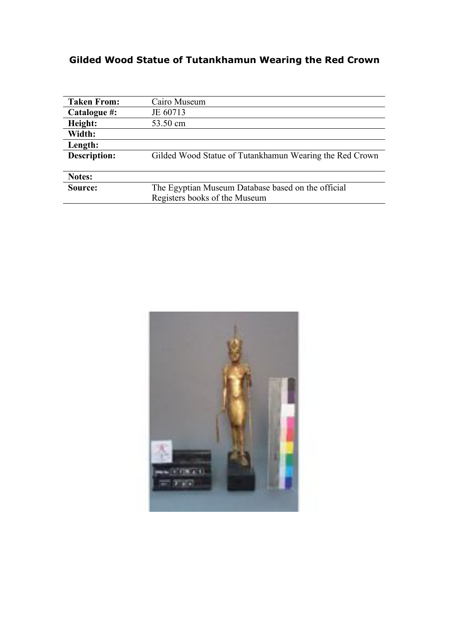# **Gilded Wood Statue of Tutankhamun Wearing the Red Crown**

| <b>Taken From:</b>  | Cairo Museum                                            |
|---------------------|---------------------------------------------------------|
| Catalogue #:        | JE 60713                                                |
| Height:             | 53.50 cm                                                |
| Width:              |                                                         |
| Length:             |                                                         |
| <b>Description:</b> | Gilded Wood Statue of Tutankhamun Wearing the Red Crown |
|                     |                                                         |
| Notes:              |                                                         |
| Source:             | The Egyptian Museum Database based on the official      |
|                     | Registers books of the Museum                           |

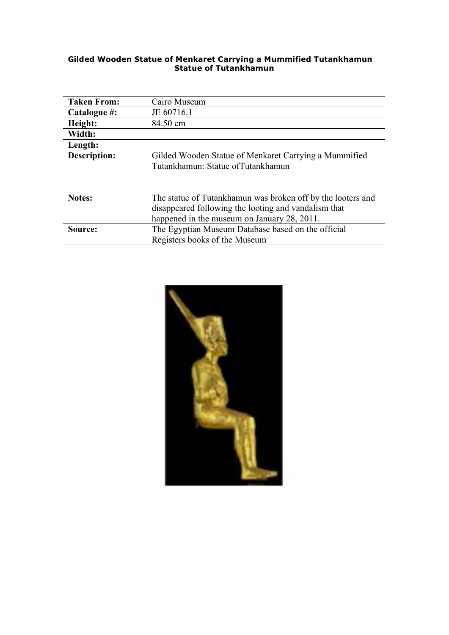#### **Gilded Wooden Statue of Menkaret Carrying a Mummified Tutankhamun Statue of Tutankhamun**

| <b>Taken From:</b>  | Cairo Museum                                                |
|---------------------|-------------------------------------------------------------|
| Catalogue #:        | JE 60716.1                                                  |
| Height:             | 84.50 cm                                                    |
| Width:              |                                                             |
| Length:             |                                                             |
| <b>Description:</b> | Gilded Wooden Statue of Menkaret Carrying a Mummified       |
|                     | Tutankhamun: Statue of Tutankhamun                          |
|                     |                                                             |
|                     |                                                             |
| <b>Notes:</b>       | The statue of Tutankhamun was broken off by the looters and |
|                     | disappeared following the looting and vandalism that        |
|                     | happened in the museum on January 28, 2011.                 |
| Source:             | The Egyptian Museum Database based on the official          |
|                     | Registers books of the Museum                               |

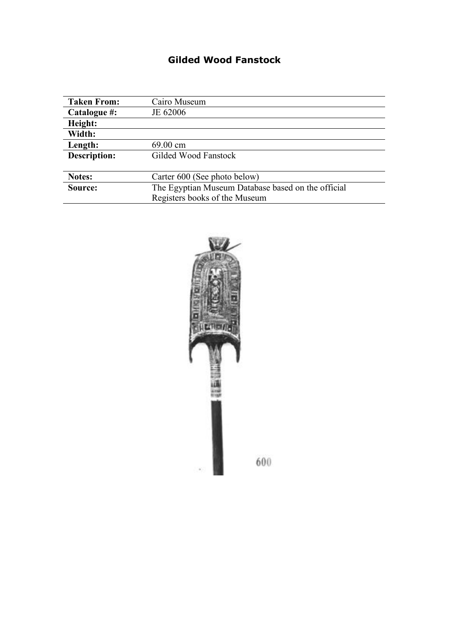## **Gilded Wood Fanstock**

| <b>Taken From:</b>  | Cairo Museum                                       |
|---------------------|----------------------------------------------------|
| Catalogue #:        | JE 62006                                           |
| Height:             |                                                    |
| Width:              |                                                    |
| Length:             | 69.00 cm                                           |
| <b>Description:</b> | Gilded Wood Fanstock                               |
|                     |                                                    |
| Notes:              | Carter 600 (See photo below)                       |
| Source:             | The Egyptian Museum Database based on the official |
|                     | Registers books of the Museum                      |

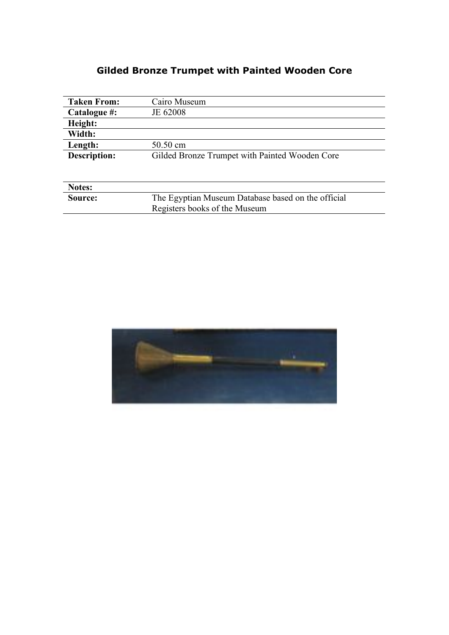# **Gilded Bronze Trumpet with Painted Wooden Core**

| <b>Taken From:</b>  | Cairo Museum                                       |
|---------------------|----------------------------------------------------|
| Catalogue #:        | JE 62008                                           |
| Height:             |                                                    |
| Width:              |                                                    |
| Length:             | 50.50 cm                                           |
| <b>Description:</b> | Gilded Bronze Trumpet with Painted Wooden Core     |
|                     |                                                    |
|                     |                                                    |
| Notes:              |                                                    |
| Source:             | The Egyptian Museum Database based on the official |
|                     | Registers books of the Museum                      |

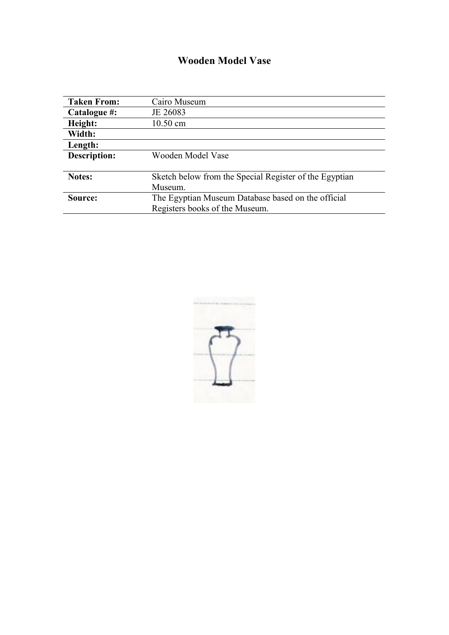## **Wooden Model Vase**

| <b>Taken From:</b> | Cairo Museum                                           |
|--------------------|--------------------------------------------------------|
| Catalogue #:       | JE 26083                                               |
| Height:            | $10.50$ cm                                             |
| Width:             |                                                        |
| Length:            |                                                        |
| Description:       | Wooden Model Vase                                      |
|                    |                                                        |
| <b>Notes:</b>      | Sketch below from the Special Register of the Egyptian |
|                    | Museum.                                                |
| Source:            | The Egyptian Museum Database based on the official     |
|                    | Registers books of the Museum.                         |

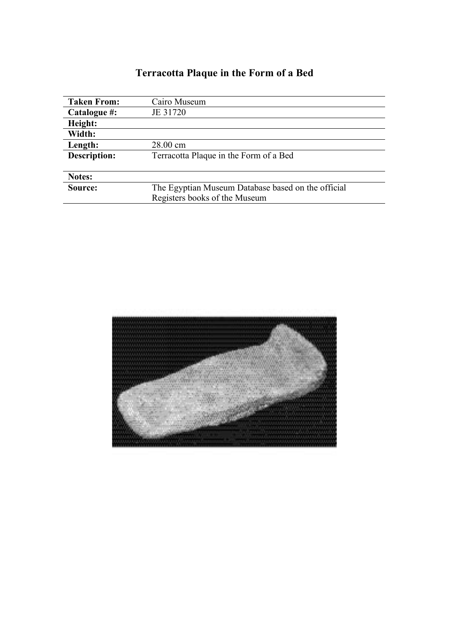# **Terracotta Plaque in the Form of a Bed**

| <b>Taken From:</b>  | Cairo Museum                                       |
|---------------------|----------------------------------------------------|
| Catalogue #:        | JE 31720                                           |
| Height:             |                                                    |
| Width:              |                                                    |
| Length:             | 28.00 cm                                           |
| <b>Description:</b> | Terracotta Plaque in the Form of a Bed             |
|                     |                                                    |
| Notes:              |                                                    |
| Source:             | The Egyptian Museum Database based on the official |
|                     | Registers books of the Museum                      |

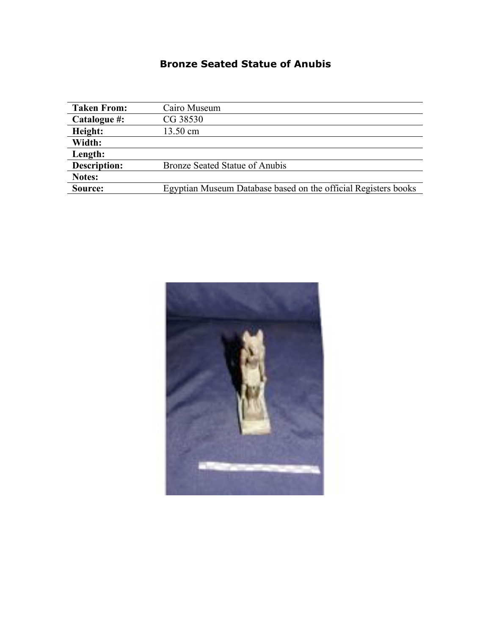### **Bronze Seated Statue of Anubis**

| <b>Taken From:</b>  | Cairo Museum                                                   |
|---------------------|----------------------------------------------------------------|
| Catalogue #:        | CG 38530                                                       |
| Height:             | 13.50 cm                                                       |
| Width:              |                                                                |
| Length:             |                                                                |
| <b>Description:</b> | Bronze Seated Statue of Anubis                                 |
| Notes:              |                                                                |
| Source:             | Egyptian Museum Database based on the official Registers books |

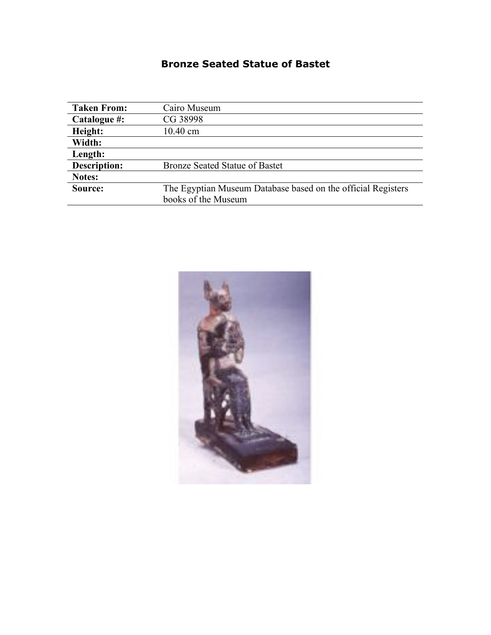### **Bronze Seated Statue of Bastet**

| <b>Taken From:</b> | Cairo Museum                                                 |
|--------------------|--------------------------------------------------------------|
| Catalogue #:       | CG 38998                                                     |
| Height:            | $10.40$ cm                                                   |
| Width:             |                                                              |
| Length:            |                                                              |
| Description:       | <b>Bronze Seated Statue of Bastet</b>                        |
| Notes:             |                                                              |
| Source:            | The Egyptian Museum Database based on the official Registers |
|                    | books of the Museum                                          |

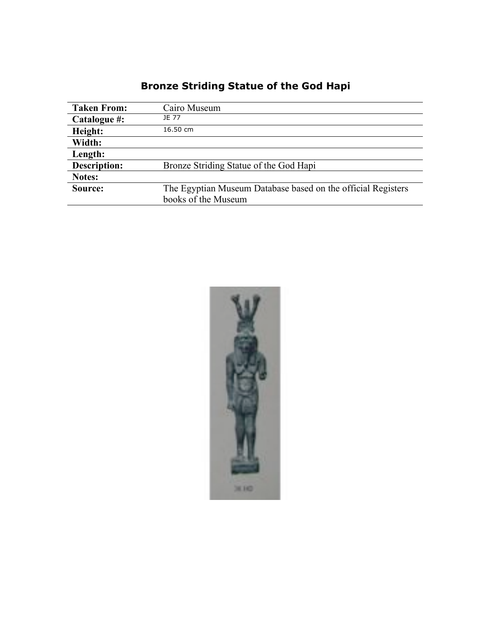# **Bronze Striding Statue of the God Hapi**

| <b>Taken From:</b>  | Cairo Museum                                                 |
|---------------------|--------------------------------------------------------------|
| Catalogue #:        | <b>IF 77</b>                                                 |
| Height:             | 16.50 cm                                                     |
| Width:              |                                                              |
| Length:             |                                                              |
| <b>Description:</b> | Bronze Striding Statue of the God Hapi                       |
| Notes:              |                                                              |
| Source:             | The Egyptian Museum Database based on the official Registers |
|                     | books of the Museum                                          |

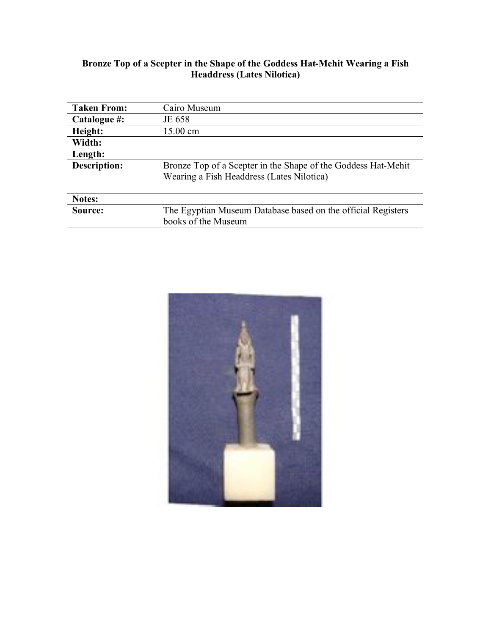#### **Bronze Top of a Scepter in the Shape of the Goddess Hat-Mehit Wearing a Fish Headdress (Lates Nilotica)**

| <b>Taken From:</b> | Cairo Museum                                                                                               |
|--------------------|------------------------------------------------------------------------------------------------------------|
| Catalogue #:       | JE 658                                                                                                     |
| Height:            | 15.00 cm                                                                                                   |
| Width:             |                                                                                                            |
| Length:            |                                                                                                            |
| Description:       | Bronze Top of a Scepter in the Shape of the Goddess Hat-Mehit<br>Wearing a Fish Headdress (Lates Nilotica) |
|                    |                                                                                                            |
| Notes:             |                                                                                                            |
| Source:            | The Egyptian Museum Database based on the official Registers                                               |
|                    | books of the Museum                                                                                        |

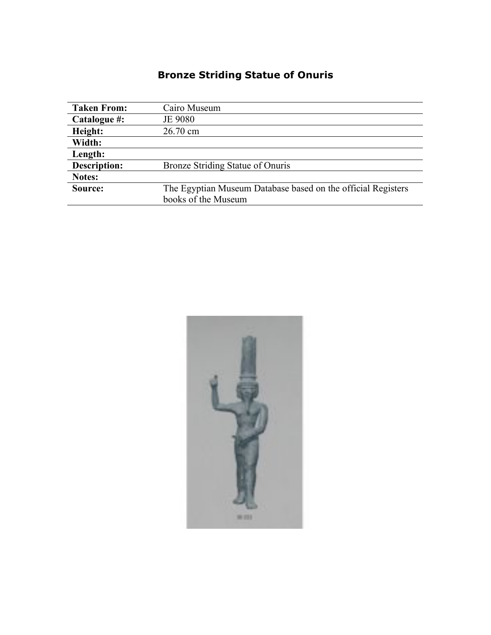# **Bronze Striding Statue of Onuris**

| <b>Taken From:</b>  | Cairo Museum                                                 |
|---------------------|--------------------------------------------------------------|
| Catalogue #:        | JE 9080                                                      |
| Height:             | 26.70 cm                                                     |
| Width:              |                                                              |
| Length:             |                                                              |
| <b>Description:</b> | Bronze Striding Statue of Onuris                             |
| Notes:              |                                                              |
| Source:             | The Egyptian Museum Database based on the official Registers |
|                     | books of the Museum                                          |

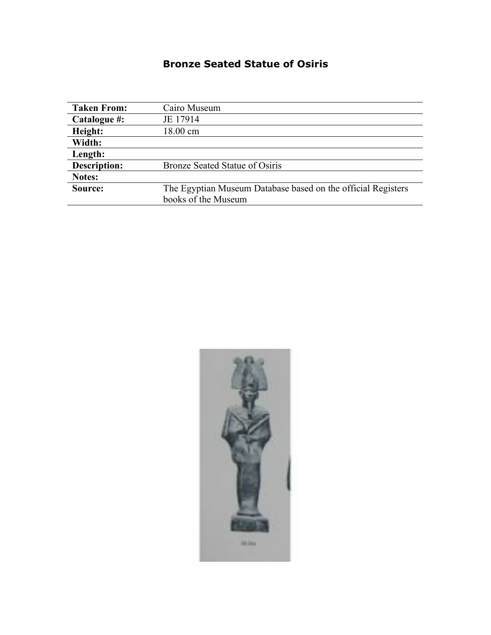### **Bronze Seated Statue of Osiris**

| <b>Taken From:</b>  | Cairo Museum                                                 |
|---------------------|--------------------------------------------------------------|
| Catalogue #:        | JE 17914                                                     |
| Height:             | 18.00 cm                                                     |
| Width:              |                                                              |
| Length:             |                                                              |
| <b>Description:</b> | Bronze Seated Statue of Osiris                               |
| Notes:              |                                                              |
| Source:             | The Egyptian Museum Database based on the official Registers |
|                     | books of the Museum                                          |

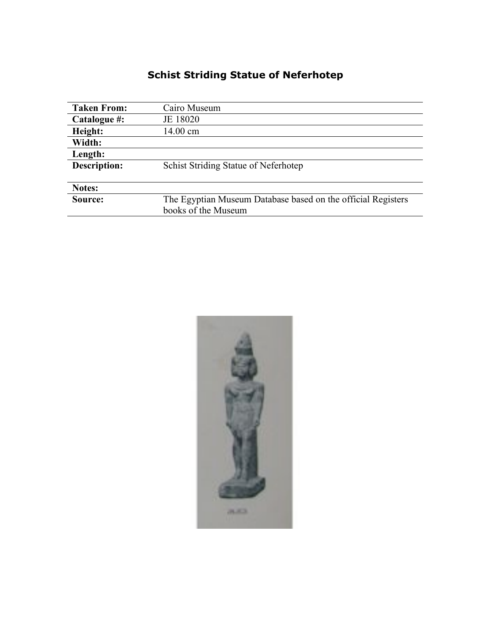# **Schist Striding Statue of Neferhotep**

| <b>Taken From:</b>  | Cairo Museum                                                 |
|---------------------|--------------------------------------------------------------|
| Catalogue #:        | JE 18020                                                     |
| Height:             | 14.00 cm                                                     |
| Width:              |                                                              |
| Length:             |                                                              |
| <b>Description:</b> | Schist Striding Statue of Neferhotep                         |
|                     |                                                              |
| Notes:              |                                                              |
| Source:             | The Egyptian Museum Database based on the official Registers |
|                     | books of the Museum                                          |

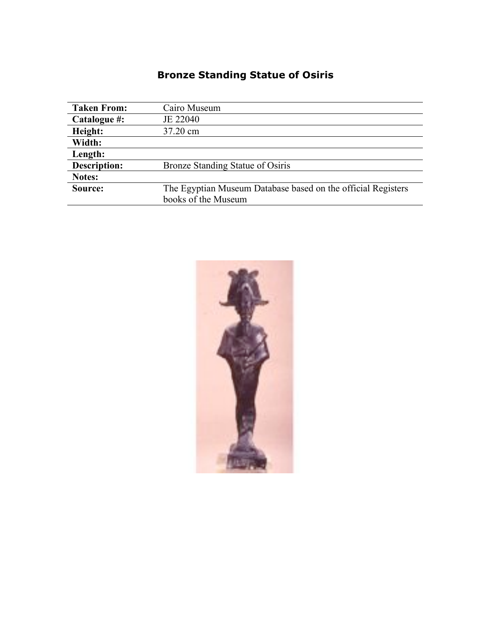# **Bronze Standing Statue of Osiris**

| <b>Taken From:</b>  | Cairo Museum                                                 |
|---------------------|--------------------------------------------------------------|
| Catalogue #:        | JE 22040                                                     |
| Height:             | 37.20 cm                                                     |
| Width:              |                                                              |
| Length:             |                                                              |
| <b>Description:</b> | Bronze Standing Statue of Osiris                             |
| Notes:              |                                                              |
| Source:             | The Egyptian Museum Database based on the official Registers |
|                     | books of the Museum                                          |

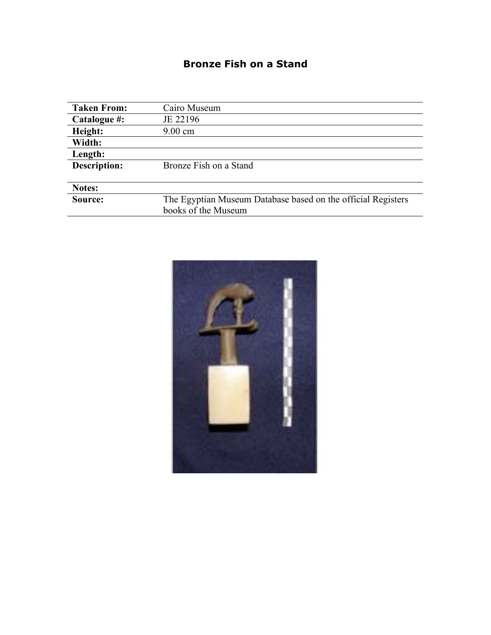#### **Bronze Fish on a Stand**

| <b>Taken From:</b> | Cairo Museum                                                 |
|--------------------|--------------------------------------------------------------|
| Catalogue #:       | JE 22196                                                     |
| Height:            | $9.00 \text{ cm}$                                            |
| Width:             |                                                              |
| Length:            |                                                              |
| Description:       | Bronze Fish on a Stand                                       |
|                    |                                                              |
| Notes:             |                                                              |
| Source:            | The Egyptian Museum Database based on the official Registers |
|                    | books of the Museum                                          |

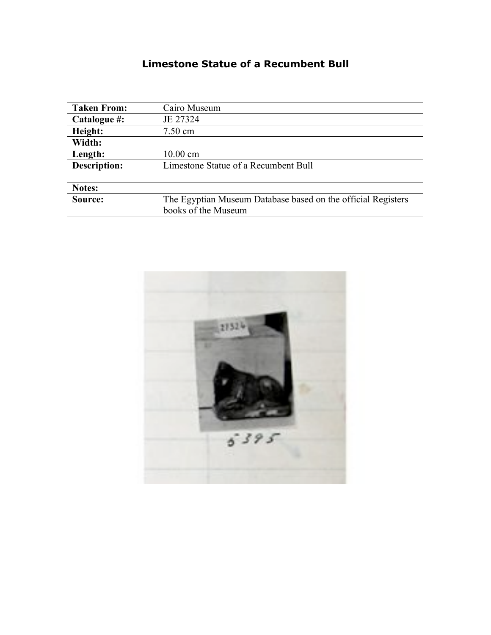### **Limestone Statue of a Recumbent Bull**

| <b>Taken From:</b> | Cairo Museum                                                 |
|--------------------|--------------------------------------------------------------|
| Catalogue #:       | JE 27324                                                     |
| Height:            | $7.50 \text{ cm}$                                            |
| Width:             |                                                              |
| Length:            | $10.00 \text{ cm}$                                           |
| Description:       | Limestone Statue of a Recumbent Bull                         |
|                    |                                                              |
| Notes:             |                                                              |
| Source:            | The Egyptian Museum Database based on the official Registers |
|                    | books of the Museum                                          |

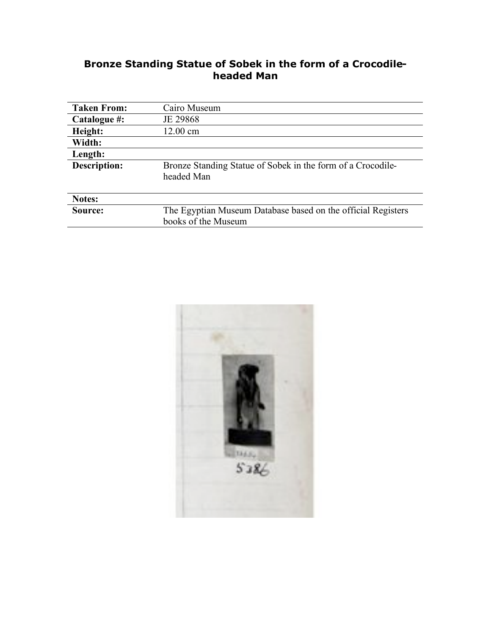#### **Bronze Standing Statue of Sobek in the form of a Crocodileheaded Man**

| <b>Taken From:</b>  | Cairo Museum                                                                        |
|---------------------|-------------------------------------------------------------------------------------|
| Catalogue #:        | JE 29868                                                                            |
| Height:             | 12.00 cm                                                                            |
| Width:              |                                                                                     |
| Length:             |                                                                                     |
| <b>Description:</b> | Bronze Standing Statue of Sobek in the form of a Crocodile-<br>headed Man           |
| Notes:              |                                                                                     |
| Source:             | The Egyptian Museum Database based on the official Registers<br>books of the Museum |
|                     |                                                                                     |

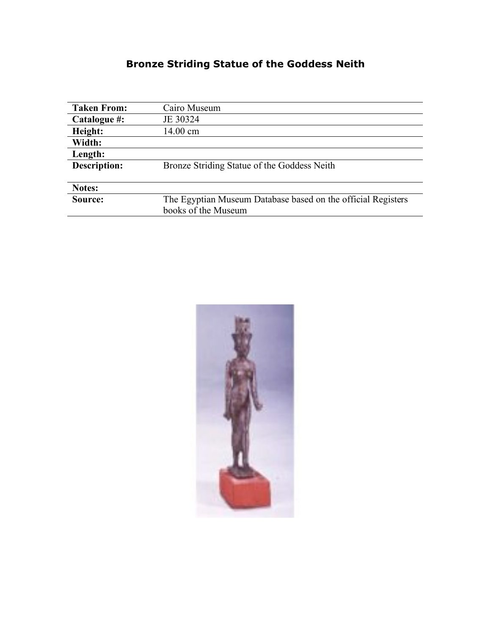# **Bronze Striding Statue of the Goddess Neith**

| <b>Taken From:</b>  | Cairo Museum                                                 |
|---------------------|--------------------------------------------------------------|
| Catalogue #:        | JE 30324                                                     |
| Height:             | 14.00 cm                                                     |
| Width:              |                                                              |
| Length:             |                                                              |
| <b>Description:</b> | Bronze Striding Statue of the Goddess Neith                  |
|                     |                                                              |
| Notes:              |                                                              |
| Source:             | The Egyptian Museum Database based on the official Registers |
|                     | books of the Museum                                          |

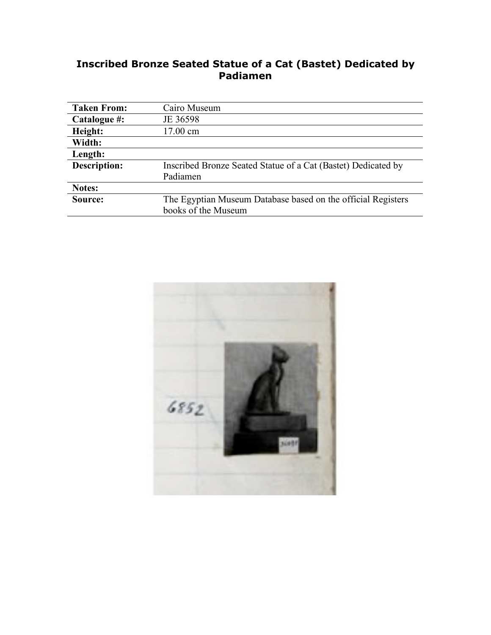#### **Inscribed Bronze Seated Statue of a Cat (Bastet) Dedicated by Padiamen**

| <b>Taken From:</b>  | Cairo Museum                                                  |
|---------------------|---------------------------------------------------------------|
| Catalogue #:        | JE 36598                                                      |
| Height:             | 17.00 cm                                                      |
| Width:              |                                                               |
| Length:             |                                                               |
| <b>Description:</b> | Inscribed Bronze Seated Statue of a Cat (Bastet) Dedicated by |
|                     | Padiamen                                                      |
| Notes:              |                                                               |
| Source:             | The Egyptian Museum Database based on the official Registers  |
|                     | books of the Museum                                           |

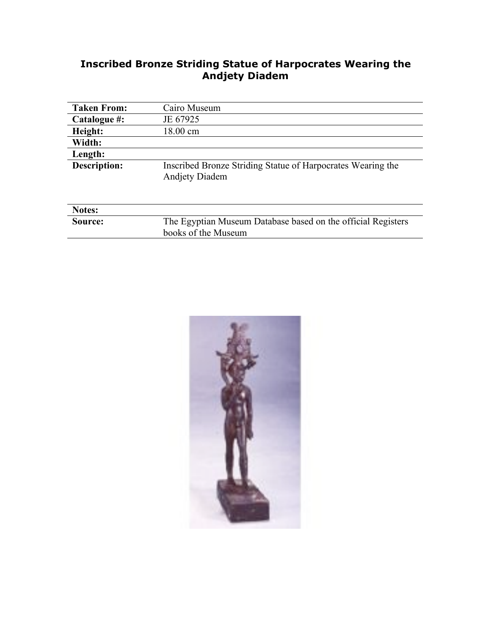#### **Inscribed Bronze Striding Statue of Harpocrates Wearing the Andjety Diadem**

| <b>Taken From:</b> | Cairo Museum                                                                         |
|--------------------|--------------------------------------------------------------------------------------|
| Catalogue #:       | JE 67925                                                                             |
| Height:            | 18.00 cm                                                                             |
| Width:             |                                                                                      |
| Length:            |                                                                                      |
| Description:       | Inscribed Bronze Striding Statue of Harpocrates Wearing the<br><b>Andjety Diadem</b> |
| Notes:             |                                                                                      |
| Source:            | The Egyptian Museum Database based on the official Registers                         |
|                    | books of the Museum                                                                  |

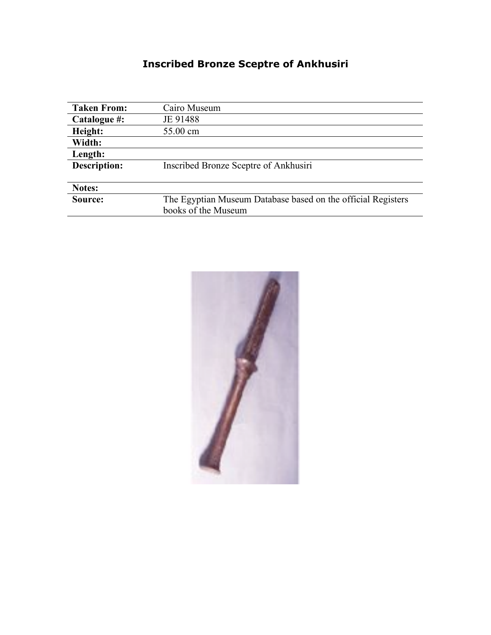# **Inscribed Bronze Sceptre of Ankhusiri**

| <b>Taken From:</b>  | Cairo Museum                                                 |
|---------------------|--------------------------------------------------------------|
| Catalogue #:        | JE 91488                                                     |
| Height:             | 55.00 cm                                                     |
| Width:              |                                                              |
| Length:             |                                                              |
| <b>Description:</b> | Inscribed Bronze Sceptre of Ankhusiri                        |
|                     |                                                              |
| Notes:              |                                                              |
| Source:             | The Egyptian Museum Database based on the official Registers |
|                     | books of the Museum                                          |

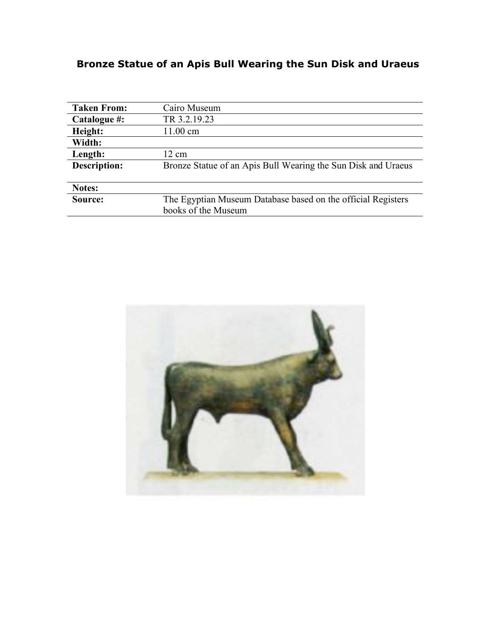# **Bronze Statue of an Apis Bull Wearing the Sun Disk and Uraeus**

| <b>Taken From:</b> | Cairo Museum                                                  |
|--------------------|---------------------------------------------------------------|
| Catalogue #:       | TR 3.2.19.23                                                  |
| Height:            | $11.00 \text{ cm}$                                            |
| Width:             |                                                               |
| Length:            | 12 cm                                                         |
| Description:       | Bronze Statue of an Apis Bull Wearing the Sun Disk and Uraeus |
|                    |                                                               |
| Notes:             |                                                               |
| Source:            | The Egyptian Museum Database based on the official Registers  |
|                    | books of the Museum                                           |

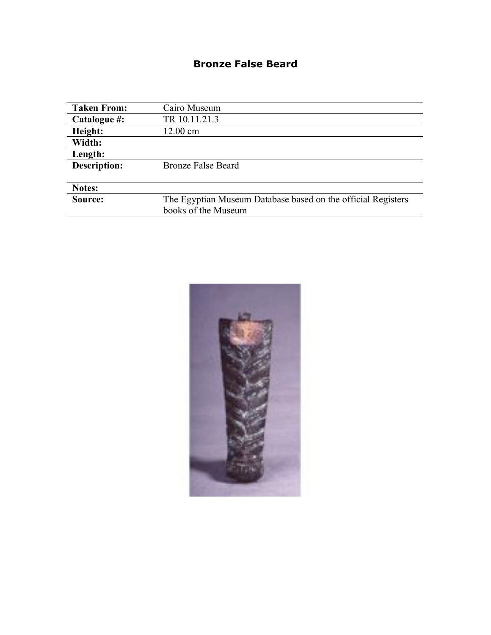### **Bronze False Beard**

| <b>Taken From:</b>  | Cairo Museum                                                 |
|---------------------|--------------------------------------------------------------|
| Catalogue #:        | TR 10.11.21.3                                                |
| Height:             | 12.00 cm                                                     |
| Width:              |                                                              |
| Length:             |                                                              |
| <b>Description:</b> | <b>Bronze False Beard</b>                                    |
|                     |                                                              |
| Notes:              |                                                              |
| Source:             | The Egyptian Museum Database based on the official Registers |
|                     | books of the Museum                                          |

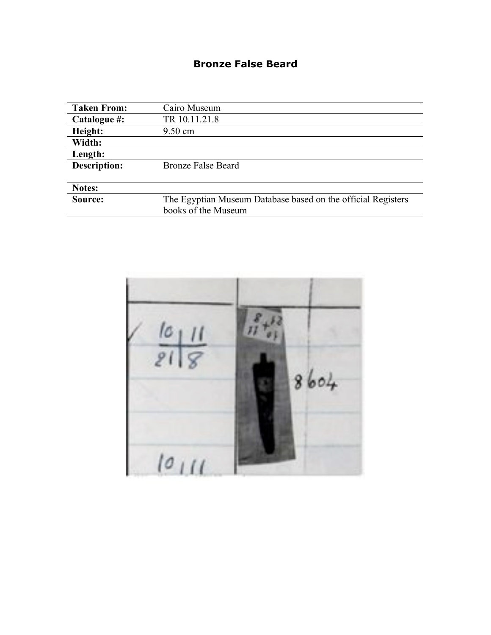### **Bronze False Beard**

| <b>Taken From:</b> | Cairo Museum                                                 |
|--------------------|--------------------------------------------------------------|
| Catalogue #:       | TR 10.11.21.8                                                |
| Height:            | $9.50 \text{ cm}$                                            |
| Width:             |                                                              |
| Length:            |                                                              |
| Description:       | <b>Bronze False Beard</b>                                    |
|                    |                                                              |
| Notes:             |                                                              |
| Source:            | The Egyptian Museum Database based on the official Registers |
|                    | books of the Museum                                          |

 $10111$  $21$ 8  $8604$  $10111$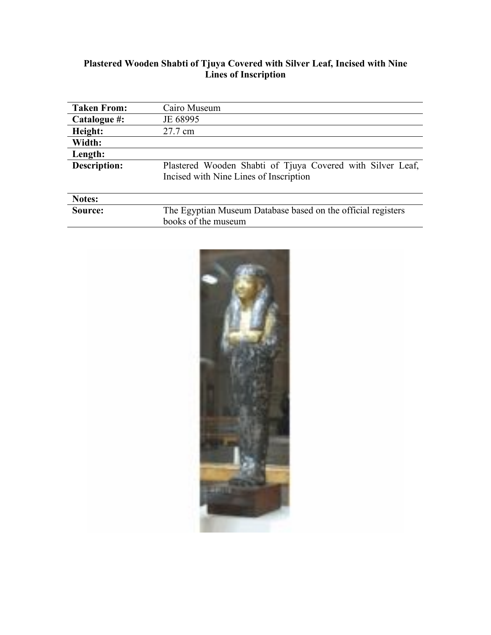#### **Plastered Wooden Shabti of Tjuya Covered with Silver Leaf, Incised with Nine Lines of Inscription**

| <b>Taken From:</b>  | Cairo Museum                                                                                         |
|---------------------|------------------------------------------------------------------------------------------------------|
| Catalogue #:        | JE 68995                                                                                             |
| Height:             | 27.7 cm                                                                                              |
| Width:              |                                                                                                      |
| Length:             |                                                                                                      |
| <b>Description:</b> | Plastered Wooden Shabti of Tjuya Covered with Silver Leaf,<br>Incised with Nine Lines of Inscription |
| Notes:              |                                                                                                      |
| Source:             | The Egyptian Museum Database based on the official registers                                         |
|                     | books of the museum                                                                                  |

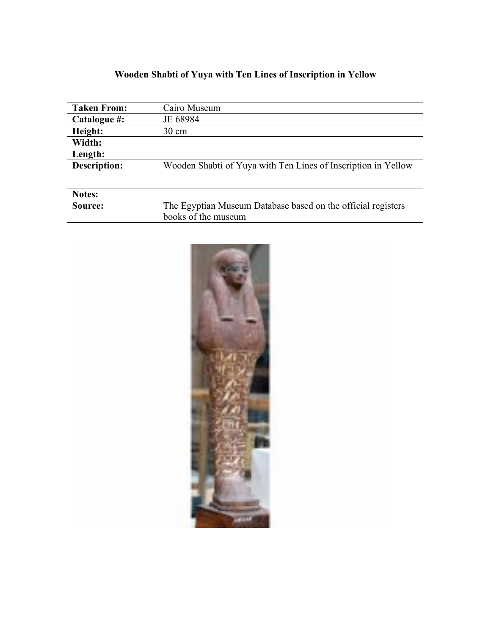### **Wooden Shabti of Yuya with Ten Lines of Inscription in Yellow**

| <b>Taken From:</b>  | Cairo Museum                                                  |
|---------------------|---------------------------------------------------------------|
| Catalogue #:        | JE 68984                                                      |
| Height:             | 30 cm                                                         |
| Width:              |                                                               |
| Length:             |                                                               |
| <b>Description:</b> | Wooden Shabti of Yuya with Ten Lines of Inscription in Yellow |
|                     |                                                               |
| Notes:              |                                                               |
| Source:             | The Egyptian Museum Database based on the official registers  |
|                     | books of the museum                                           |

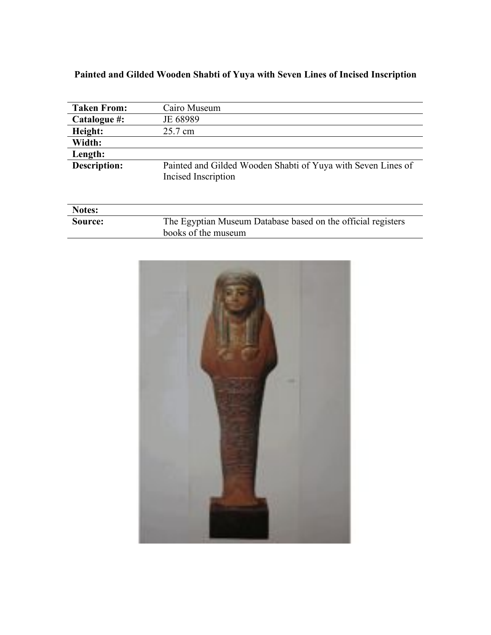### **Painted and Gilded Wooden Shabti of Yuya with Seven Lines of Incised Inscription**

| <b>Taken From:</b>  | Cairo Museum                                                                        |
|---------------------|-------------------------------------------------------------------------------------|
| Catalogue #:        | JE 68989                                                                            |
| Height:             | 25.7 cm                                                                             |
| Width:              |                                                                                     |
| Length:             |                                                                                     |
| <b>Description:</b> | Painted and Gilded Wooden Shabti of Yuya with Seven Lines of<br>Incised Inscription |

| <b>Notes:</b>  |                                                              |
|----------------|--------------------------------------------------------------|
| <b>Source:</b> | The Egyptian Museum Database based on the official registers |
|                | books of the museum                                          |

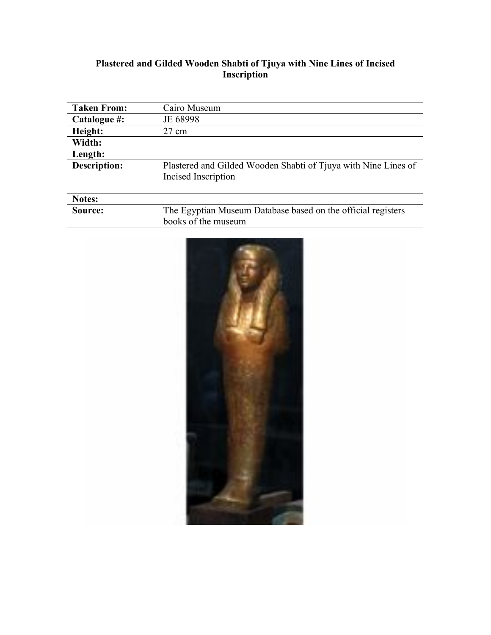#### **Plastered and Gilded Wooden Shabti of Tjuya with Nine Lines of Incised Inscription**

| <b>Taken From:</b> | Cairo Museum                                                                          |
|--------------------|---------------------------------------------------------------------------------------|
| Catalogue #:       | JE 68998                                                                              |
| Height:            | 27 cm                                                                                 |
| Width:             |                                                                                       |
| Length:            |                                                                                       |
| Description:       | Plastered and Gilded Wooden Shabti of Tjuya with Nine Lines of<br>Incised Inscription |
| Notes:             |                                                                                       |
| Source:            | The Egyptian Museum Database based on the official registers<br>books of the museum   |

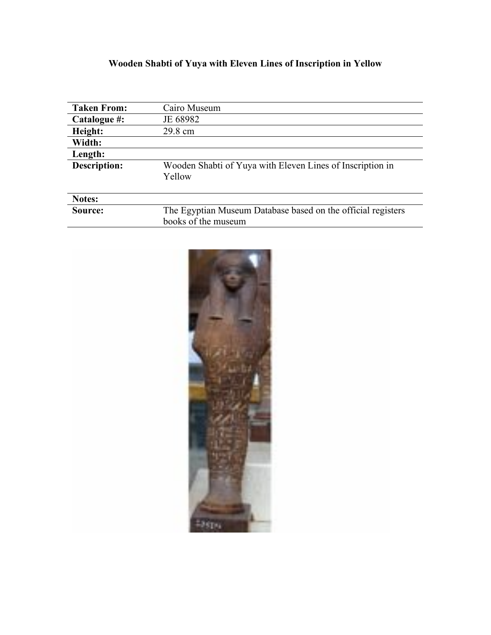# **Wooden Shabti of Yuya with Eleven Lines of Inscription in Yellow**

| <b>Taken From:</b>  | Cairo Museum                                                        |
|---------------------|---------------------------------------------------------------------|
| Catalogue #:        | JE 68982                                                            |
| Height:             | 29.8 cm                                                             |
| Width:              |                                                                     |
| Length:             |                                                                     |
| <b>Description:</b> | Wooden Shabti of Yuya with Eleven Lines of Inscription in<br>Yellow |
| Notes:              |                                                                     |
| Source:             | The Egyptian Museum Database based on the official registers        |
|                     | books of the museum                                                 |

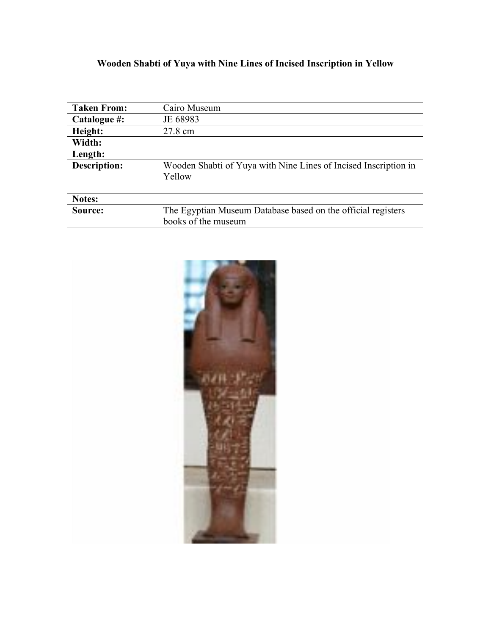# **Wooden Shabti of Yuya with Nine Lines of Incised Inscription in Yellow**

| <b>Taken From:</b>  | Cairo Museum                                                                        |
|---------------------|-------------------------------------------------------------------------------------|
| Catalogue #:        | JE 68983                                                                            |
| Height:             | 27.8 cm                                                                             |
| Width:              |                                                                                     |
| Length:             |                                                                                     |
| <b>Description:</b> | Wooden Shabti of Yuya with Nine Lines of Incised Inscription in<br>Yellow           |
| Notes:              |                                                                                     |
| Source:             | The Egyptian Museum Database based on the official registers<br>books of the museum |

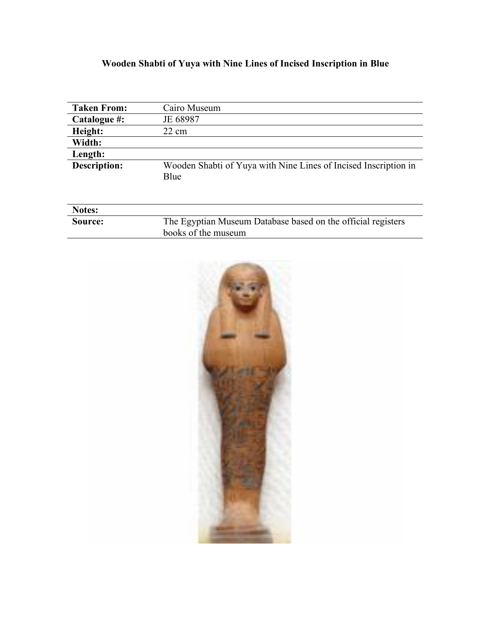# **Wooden Shabti of Yuya with Nine Lines of Incised Inscription in Blue**

| <b>Taken From:</b>  | Cairo Museum                                                            |
|---------------------|-------------------------------------------------------------------------|
| Catalogue #:        | JE 68987                                                                |
| Height:             | $22 \text{ cm}$                                                         |
| Width:              |                                                                         |
| Length:             |                                                                         |
| <b>Description:</b> | Wooden Shabti of Yuya with Nine Lines of Incised Inscription in<br>Blue |
| <b>Notes:</b>       |                                                                         |
| Source:             | The Egyptian Museum Database based on the official registers            |
|                     | books of the museum                                                     |

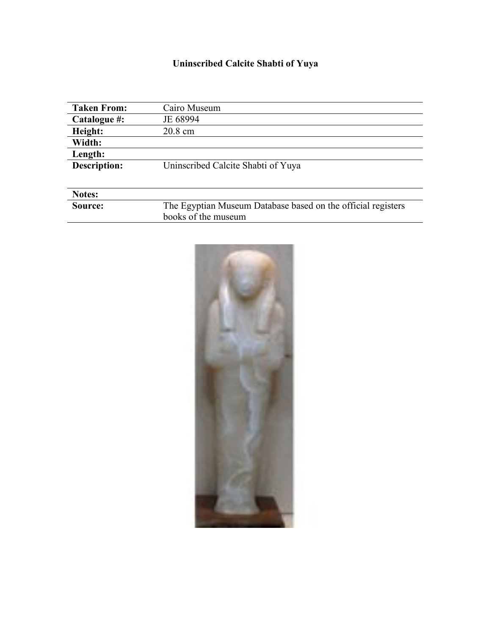# **Uninscribed Calcite Shabti of Yuya**

| <b>Taken From:</b>  | Cairo Museum                                                 |
|---------------------|--------------------------------------------------------------|
| Catalogue #:        | JE 68994                                                     |
| Height:             | 20.8 cm                                                      |
| Width:              |                                                              |
| Length:             |                                                              |
| <b>Description:</b> | Uninscribed Calcite Shabti of Yuya                           |
|                     |                                                              |
| <b>Notes:</b>       |                                                              |
| Source:             | The Egyptian Museum Database based on the official registers |
|                     | books of the museum                                          |

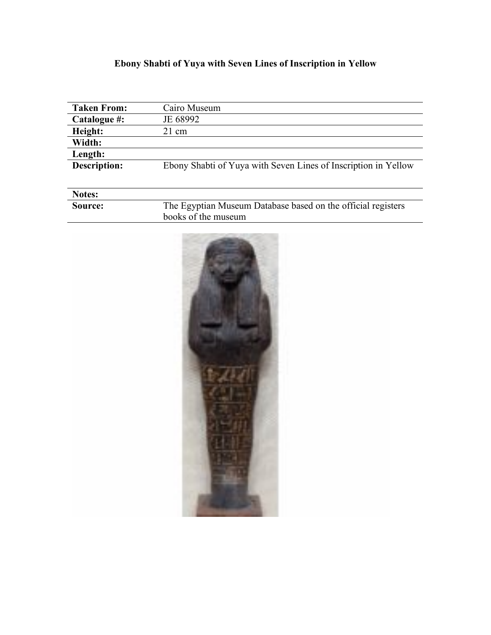# **Ebony Shabti of Yuya with Seven Lines of Inscription in Yellow**

| <b>Taken From:</b>  | Cairo Museum                                                   |
|---------------------|----------------------------------------------------------------|
| Catalogue #:        | JE 68992                                                       |
| Height:             | $21 \text{ cm}$                                                |
| Width:              |                                                                |
| Length:             |                                                                |
| <b>Description:</b> | Ebony Shabti of Yuya with Seven Lines of Inscription in Yellow |
|                     |                                                                |
| Notes:              |                                                                |

| .       |                                                              |
|---------|--------------------------------------------------------------|
| Source: | The Egyptian Museum Database based on the official registers |
|         | books of the museum                                          |
|         |                                                              |

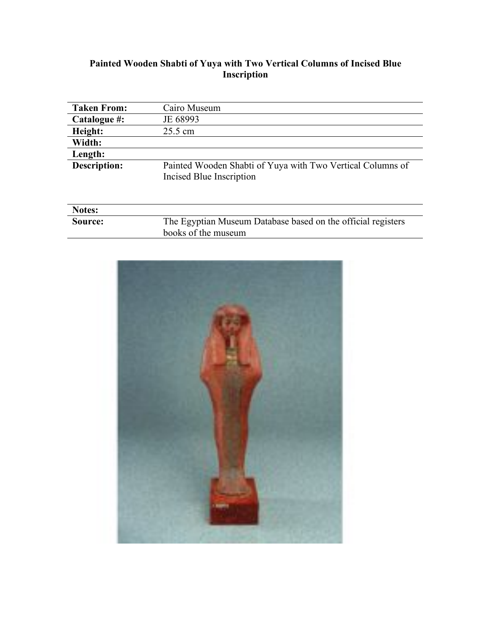#### **Painted Wooden Shabti of Yuya with Two Vertical Columns of Incised Blue Inscription**

| <b>Taken From:</b>  | Cairo Museum                                                                           |
|---------------------|----------------------------------------------------------------------------------------|
| Catalogue #:        | JE 68993                                                                               |
| Height:             | 25.5 cm                                                                                |
| Width:              |                                                                                        |
| Length:             |                                                                                        |
| <b>Description:</b> | Painted Wooden Shabti of Yuya with Two Vertical Columns of<br>Incised Blue Inscription |
| Notes:              |                                                                                        |
| Source:             | The Egyptian Museum Database based on the official registers                           |
|                     | books of the museum                                                                    |

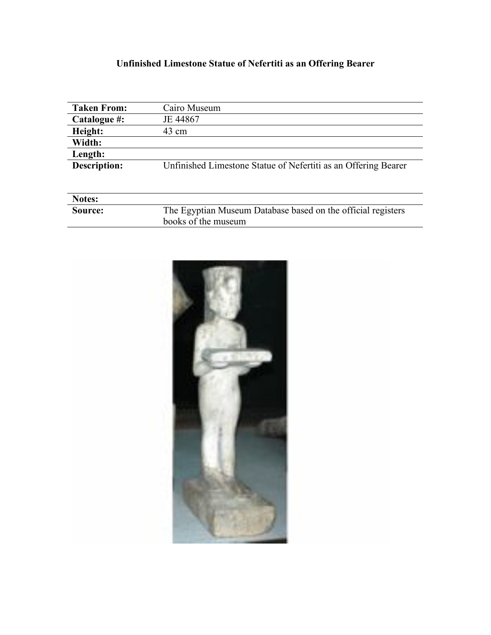# **Unfinished Limestone Statue of Nefertiti as an Offering Bearer**

| <b>Taken From:</b>  | Cairo Museum                                                   |
|---------------------|----------------------------------------------------------------|
| Catalogue #:        | JE 44867                                                       |
| Height:             | 43 cm                                                          |
| Width:              |                                                                |
| Length:             |                                                                |
| <b>Description:</b> | Unfinished Limestone Statue of Nefertiti as an Offering Bearer |
|                     |                                                                |
|                     |                                                                |
| Notes:              |                                                                |
| Source:             | The Egyptian Museum Database based on the official registers   |
|                     | books of the museum                                            |

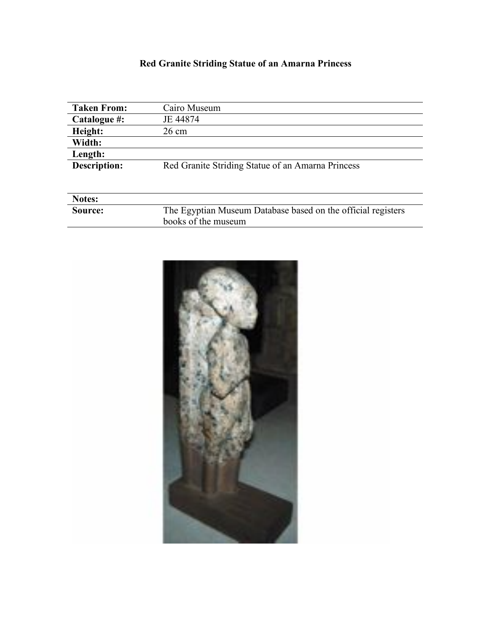# **Red Granite Striding Statue of an Amarna Princess**

| <b>Taken From:</b>  | Cairo Museum                                                 |
|---------------------|--------------------------------------------------------------|
| Catalogue #:        | JE 44874                                                     |
| Height:             | 26 cm                                                        |
| Width:              |                                                              |
| Length:             |                                                              |
| <b>Description:</b> | Red Granite Striding Statue of an Amarna Princess            |
|                     |                                                              |
|                     |                                                              |
| Notes:              |                                                              |
| Source:             | The Egyptian Museum Database based on the official registers |
|                     | books of the museum                                          |

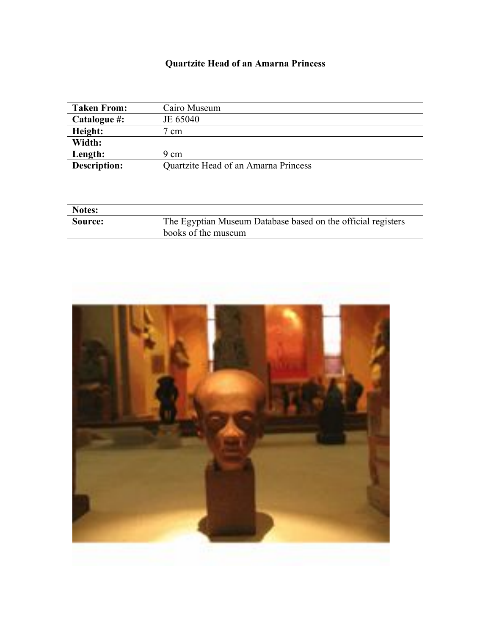#### **Quartzite Head of an Amarna Princess**

| <b>Taken From:</b> | Cairo Museum                         |
|--------------------|--------------------------------------|
| Catalogue #:       | JE 65040                             |
| Height:            | cm                                   |
| Width:             |                                      |
| Length:            | 9 cm                                 |
| Description:       | Quartzite Head of an Amarna Princess |

| <b>Notes:</b>  |                                                                                     |
|----------------|-------------------------------------------------------------------------------------|
| <b>Source:</b> | The Egyptian Museum Database based on the official registers<br>books of the museum |

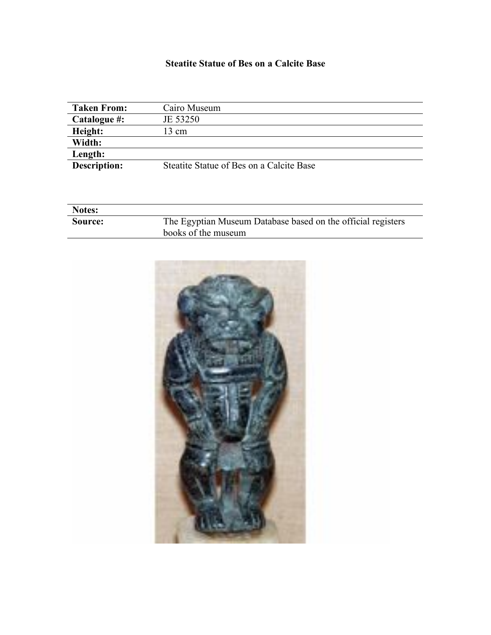#### **Steatite Statue of Bes on a Calcite Base**

| <b>Taken From:</b> | Cairo Museum                             |
|--------------------|------------------------------------------|
| Catalogue #:       | JE 53250                                 |
| Height:            | 13 cm                                    |
| Width:             |                                          |
| Length:            |                                          |
| Description:       | Steatite Statue of Bes on a Calcite Base |
|                    |                                          |

| <b>Notes:</b>  |                                                              |
|----------------|--------------------------------------------------------------|
| <b>Source:</b> | The Egyptian Museum Database based on the official registers |
|                | books of the museum                                          |

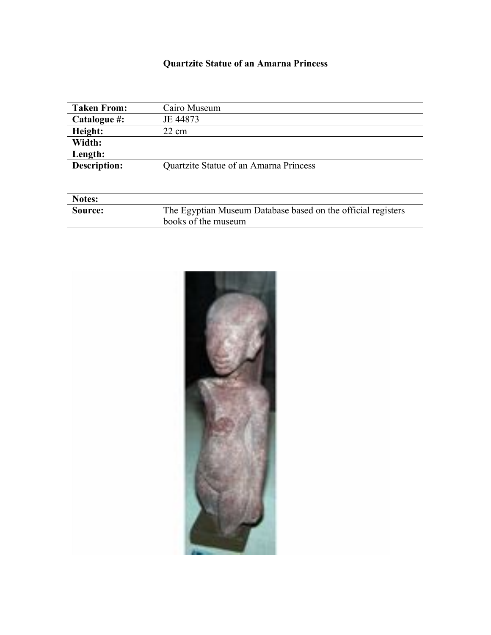### **Quartzite Statue of an Amarna Princess**

| <b>Taken From:</b>  | Cairo Museum                                                 |
|---------------------|--------------------------------------------------------------|
| Catalogue #:        | JE 44873                                                     |
| Height:             | $22 \text{ cm}$                                              |
| Width:              |                                                              |
| Length:             |                                                              |
| <b>Description:</b> | Quartzite Statue of an Amarna Princess                       |
|                     |                                                              |
| Notes:              |                                                              |
| Source:             | The Egyptian Museum Database based on the official registers |
|                     | books of the museum                                          |

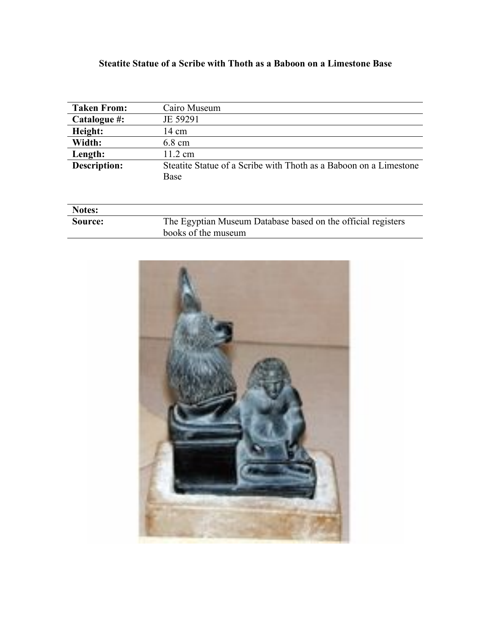#### **Steatite Statue of a Scribe with Thoth as a Baboon on a Limestone Base**

| <b>Taken From:</b>  | Cairo Museum                                                      |
|---------------------|-------------------------------------------------------------------|
| Catalogue #:        | JE 59291                                                          |
| Height:             | $14 \text{ cm}$                                                   |
| Width:              | $6.8 \text{ cm}$                                                  |
| Length:             | $11.2 \text{ cm}$                                                 |
| <b>Description:</b> | Steatite Statue of a Scribe with Thoth as a Baboon on a Limestone |
|                     | Base                                                              |
|                     |                                                                   |
|                     |                                                                   |
| <b>Notes:</b>       |                                                                   |
| Source:             | The Egyptian Museum Database based on the official registers      |
|                     | books of the museum                                               |

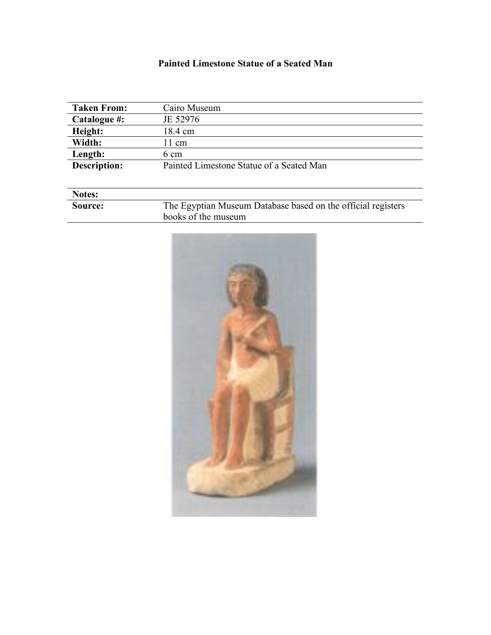#### **Painted Limestone Statue of a Seated Man**

| <b>Taken From:</b> | Cairo Museum                             |
|--------------------|------------------------------------------|
| Catalogue #:       | JE 52976                                 |
| Height:            | 18.4 cm                                  |
| Width:             | 11 cm                                    |
| Length:            | 6 cm                                     |
| Description:       | Painted Limestone Statue of a Seated Man |
|                    |                                          |
|                    |                                          |

| <b>Notes:</b> |                                                              |
|---------------|--------------------------------------------------------------|
| Source:       | The Egyptian Museum Database based on the official registers |
|               | books of the museum                                          |

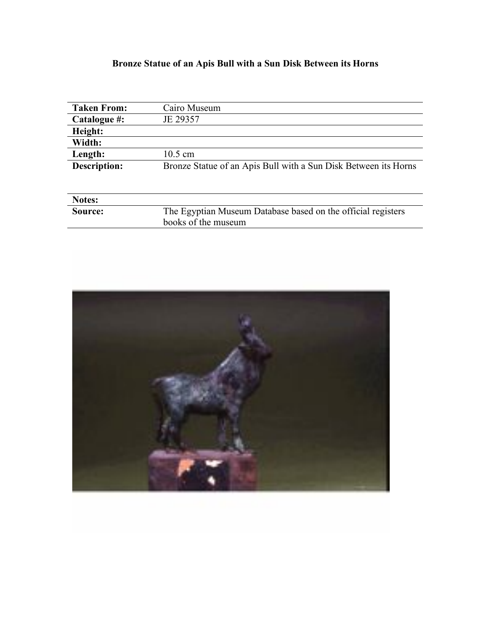### **Bronze Statue of an Apis Bull with a Sun Disk Between its Horns**

| <b>Taken From:</b>  | Cairo Museum                                                    |
|---------------------|-----------------------------------------------------------------|
| Catalogue #:        | JE 29357                                                        |
| Height:             |                                                                 |
| Width:              |                                                                 |
| Length:             | $10.5 \text{ cm}$                                               |
| <b>Description:</b> | Bronze Statue of an Apis Bull with a Sun Disk Between its Horns |
|                     |                                                                 |
|                     |                                                                 |
| Notes:              |                                                                 |
| Source:             | The Egyptian Museum Database based on the official registers    |
|                     | books of the museum                                             |

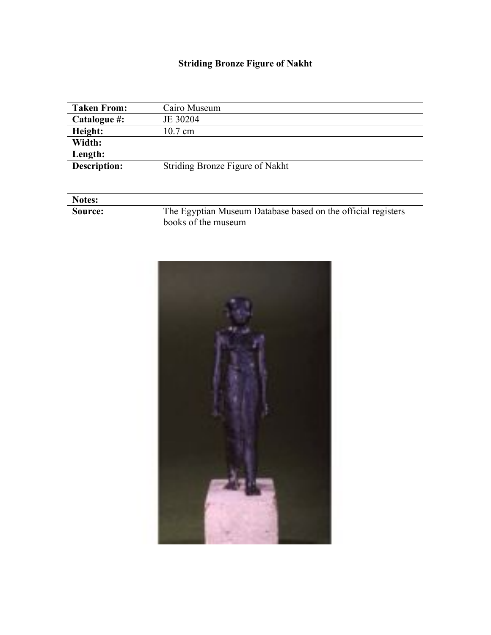# **Striding Bronze Figure of Nakht**

| <b>Taken From:</b>  | Cairo Museum                                                 |
|---------------------|--------------------------------------------------------------|
| Catalogue #:        | JE 30204                                                     |
| Height:             | $10.7 \text{ cm}$                                            |
| Width:              |                                                              |
| Length:             |                                                              |
| <b>Description:</b> | Striding Bronze Figure of Nakht                              |
|                     |                                                              |
|                     |                                                              |
| Notes:              |                                                              |
| Source:             | The Egyptian Museum Database based on the official registers |

books of the museum

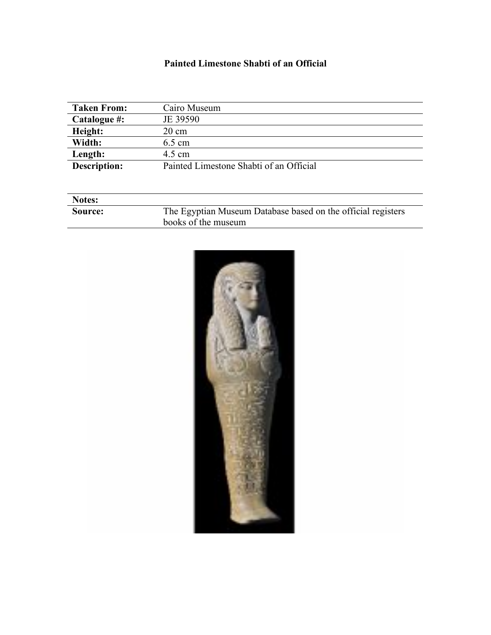#### **Painted Limestone Shabti of an Official**

| <b>Notes:</b> |                                                              |
|---------------|--------------------------------------------------------------|
| Source:       | The Egyptian Museum Database based on the official registers |
|               | books of the museum                                          |

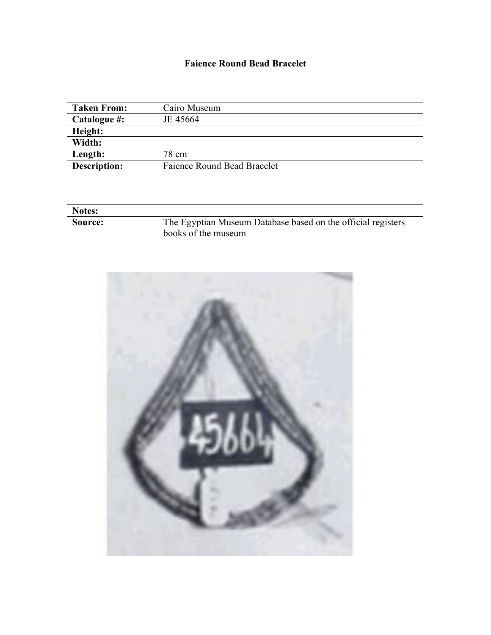#### **Faience Round Bead Bracelet**

| <b>Taken From:</b>  | Cairo Museum                |
|---------------------|-----------------------------|
| Catalogue #:        | JE 45664                    |
| Height:             |                             |
| Width:              |                             |
| Length:             | 78 cm                       |
| <b>Description:</b> | Faience Round Bead Bracelet |

| <b>Notes:</b> |                                                              |
|---------------|--------------------------------------------------------------|
| Source:       | The Egyptian Museum Database based on the official registers |
|               | books of the museum                                          |

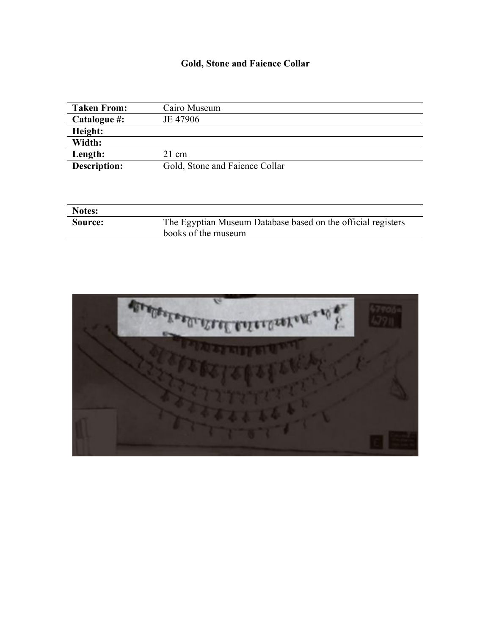### **Gold, Stone and Faience Collar**

| <b>Taken From:</b>  | Cairo Museum                   |
|---------------------|--------------------------------|
| Catalogue #:        | JE 47906                       |
| Height:             |                                |
| Width:              |                                |
| Length:             | 21 cm                          |
| <b>Description:</b> | Gold, Stone and Faience Collar |

| <b>Notes:</b> |                                                                                     |
|---------------|-------------------------------------------------------------------------------------|
| Source:       | The Egyptian Museum Database based on the official registers<br>books of the museum |

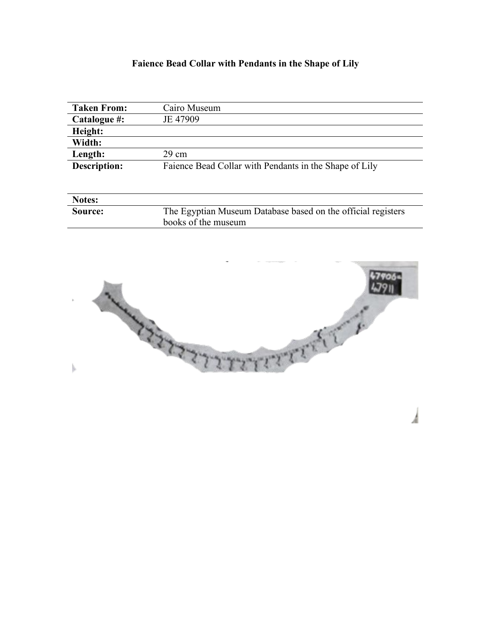### **Faience Bead Collar with Pendants in the Shape of Lily**

| <b>Taken From:</b>  | Cairo Museum                                           |
|---------------------|--------------------------------------------------------|
| Catalogue #:        | JE 47909                                               |
| Height:             |                                                        |
| Width:              |                                                        |
| Length:             | 29 cm                                                  |
| <b>Description:</b> | Faience Bead Collar with Pendants in the Shape of Lily |

| <b>Notes:</b> |                                                              |
|---------------|--------------------------------------------------------------|
| Source:       | The Egyptian Museum Database based on the official registers |
|               | books of the museum                                          |

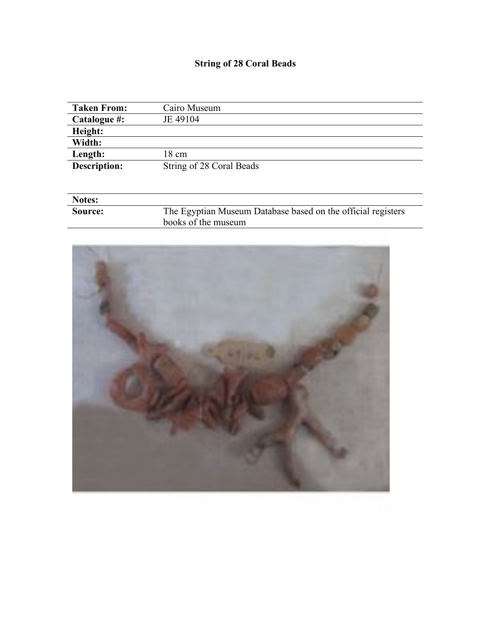# **String of 28 Coral Beads**

| <b>Taken From:</b>  | Cairo Museum             |
|---------------------|--------------------------|
| Catalogue #:        | JE 49104                 |
| Height:             |                          |
| Width:              |                          |
| Length:             | 18 cm                    |
| <b>Description:</b> | String of 28 Coral Beads |
|                     |                          |

| <b>Notes:</b> |                                                              |
|---------------|--------------------------------------------------------------|
| Source:       | The Egyptian Museum Database based on the official registers |
|               | books of the museum                                          |

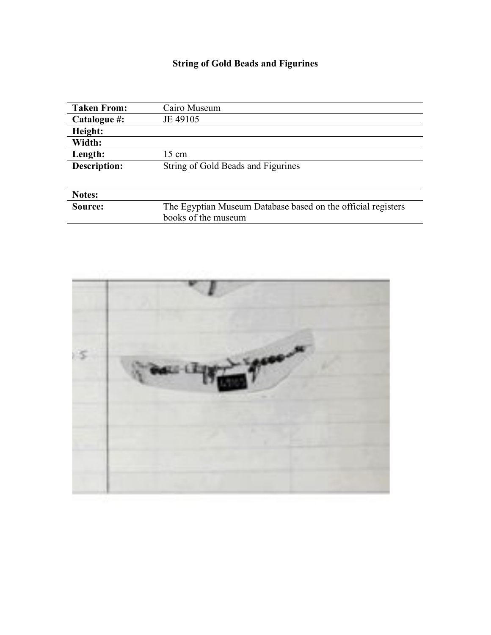# **String of Gold Beads and Figurines**

| <b>Taken From:</b>  | Cairo Museum                                                 |
|---------------------|--------------------------------------------------------------|
| Catalogue #:        | JE 49105                                                     |
| Height:             |                                                              |
| Width:              |                                                              |
| Length:             | 15 cm                                                        |
| <b>Description:</b> | String of Gold Beads and Figurines                           |
|                     |                                                              |
| <b>Notes:</b>       |                                                              |
| Source:             | The Egyptian Museum Database based on the official registers |
|                     | books of the museum                                          |

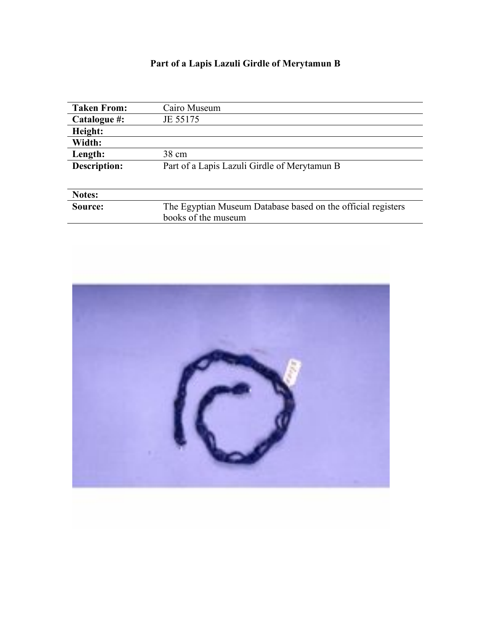# **Part of a Lapis Lazuli Girdle of Merytamun B**

| <b>Taken From:</b>  | Cairo Museum                                                 |
|---------------------|--------------------------------------------------------------|
| Catalogue #:        | JE 55175                                                     |
| Height:             |                                                              |
| Width:              |                                                              |
| Length:             | 38 cm                                                        |
| <b>Description:</b> | Part of a Lapis Lazuli Girdle of Merytamun B                 |
|                     |                                                              |
| Notes:              |                                                              |
| Source:             | The Egyptian Museum Database based on the official registers |
|                     | books of the museum                                          |

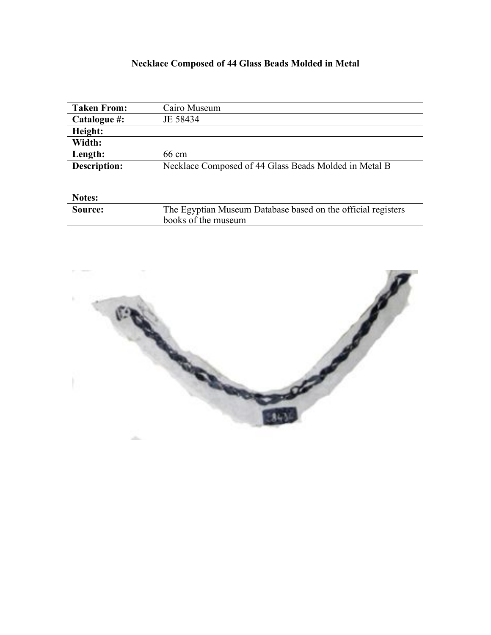### **Necklace Composed of 44 Glass Beads Molded in Metal**

| <b>Taken From:</b>  | Cairo Museum                                                 |
|---------------------|--------------------------------------------------------------|
| Catalogue #:        | JE 58434                                                     |
| Height:             |                                                              |
| Width:              |                                                              |
| Length:             | 66 cm                                                        |
| <b>Description:</b> | Necklace Composed of 44 Glass Beads Molded in Metal B        |
|                     |                                                              |
| Notes:              |                                                              |
| Source:             | The Egyptian Museum Database based on the official registers |
|                     | books of the museum                                          |

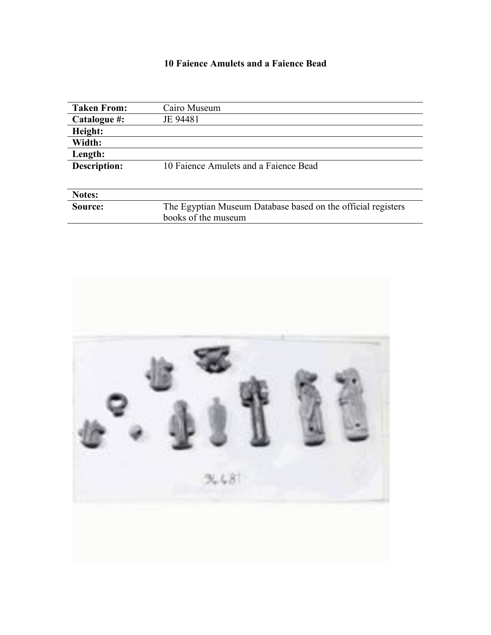#### **10 Faience Amulets and a Faience Bead**

| <b>Taken From:</b>  | Cairo Museum                                                 |
|---------------------|--------------------------------------------------------------|
| Catalogue #:        | JE 94481                                                     |
| Height:             |                                                              |
| Width:              |                                                              |
| Length:             |                                                              |
| <b>Description:</b> | 10 Faience Amulets and a Faience Bead                        |
|                     |                                                              |
| Notes:              |                                                              |
| Source:             | The Egyptian Museum Database based on the official registers |
|                     | books of the museum                                          |